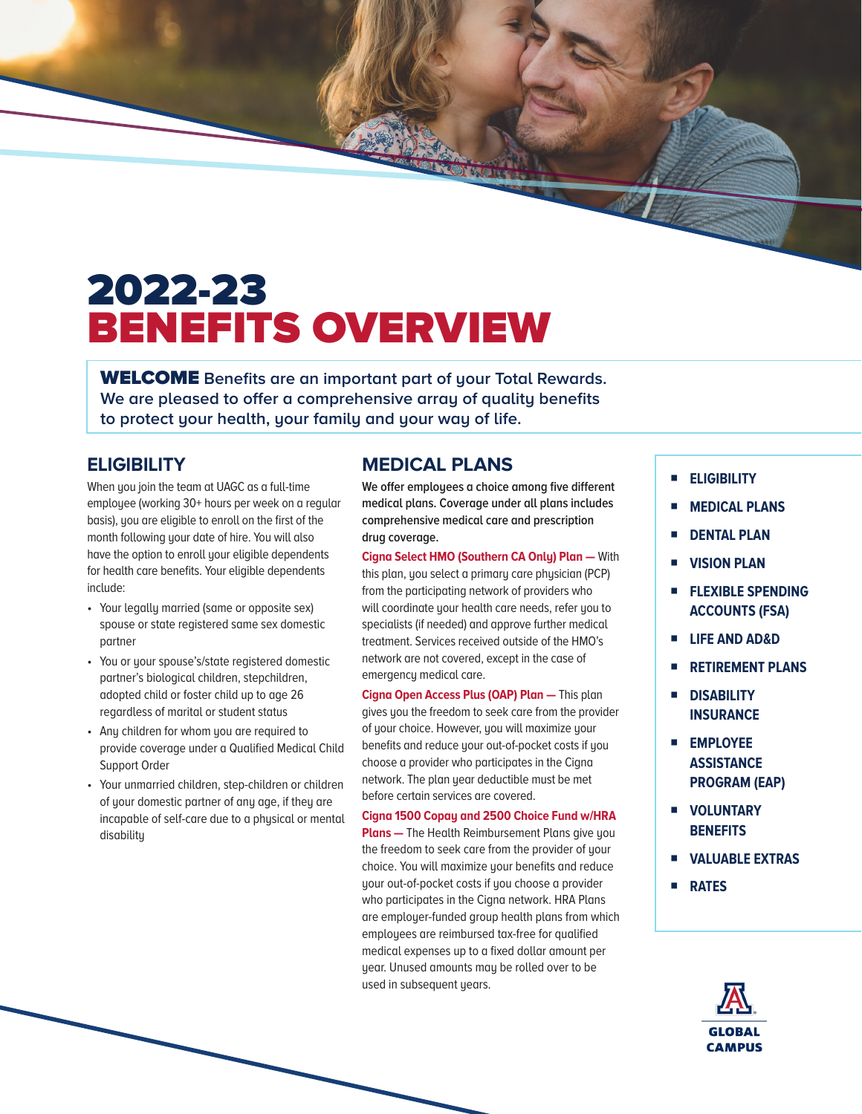## 2022-23 BENEFITS OVERVIEW

WELCOME **Benefits are an important part of your Total Rewards. We are pleased to offer a comprehensive array of quality benefits to protect your health, your family and your way of life.** 

### **ELIGIBILITY**

When you join the team at UAGC as a full-time employee (working 30+ hours per week on a regular basis), you are eligible to enroll on the first of the month following your date of hire. You will also have the option to enroll your eligible dependents for health care benefits. Your eligible dependents include:

- Your legally married (same or opposite sex) spouse or state registered same sex domestic partner
- You or your spouse's/state registered domestic partner's biological children, stepchildren, adopted child or foster child up to age 26 regardless of marital or student status
- Any children for whom you are required to provide coverage under a Qualified Medical Child Support Order
- Your unmarried children, step-children or children of your domestic partner of any age, if they are incapable of self-care due to a physical or mental disability

## **MEDICAL PLANS**

**We offer employees a choice among five different medical plans. Coverage under all plans includes comprehensive medical care and prescription drug coverage.** 

DE BASIN

**[Cigna Select HMO \(Southern CA Only\)](DBF_P1 Plan Name) Plan —** With this plan, you select a primary care physician (PCP) from the participating network of providers who will coordinate your health care needs, refer you to specialists (if needed) and approve further medical treatment. Services received outside of the HMO's network are not covered, except in the case of emergency medical care.

**[Cigna](DBF_P5 Med Carrier Name) [Open Access Plus \(OAP\)](DBF_P5 Plan Name) Plan —** This plan gives you the freedom to seek care from the provider of your choice. However, you will maximize your benefits and reduce your out-of-pocket costs if you choose a provider who participates in the [Cigna](DBF_P2 Med Carrier Name) network. The plan year deductible must be met before certain services are covered.

**[Cigna 1500 Copay and 2500 Choice Fund w/HRA](DBF_P2 Plan Name) Plans —** The Health Reimbursement Plans give you the freedom to seek care from the provider of your choice. You will maximize your benefits and reduce your out-of-pocket costs if you choose a provider who participates in the Cigna network. HRA Plans are employer-funded group health plans from which employees are reimbursed tax-free for qualified medical expenses up to a fixed dollar amount per year. Unused amounts may be rolled over to be used in subsequent years.

- **ELIGIBILITY**
- **MEDICAL PLANS**
- **DENTAL PLAN**
- **VISION PLAN**
- **FLEXIBLE SPENDING ACCOUNTS (FSA)**
- **LIFE AND AD&D**
- **RETIREMENT PLANS**
- **DISABILITY INSURANCE**
- **EMPLOYEE ASSISTANCE PROGRAM (EAP)**
- **VOLUNTARY BENEFITS**
- **VALUABLE EXTRAS**
- **RATES**

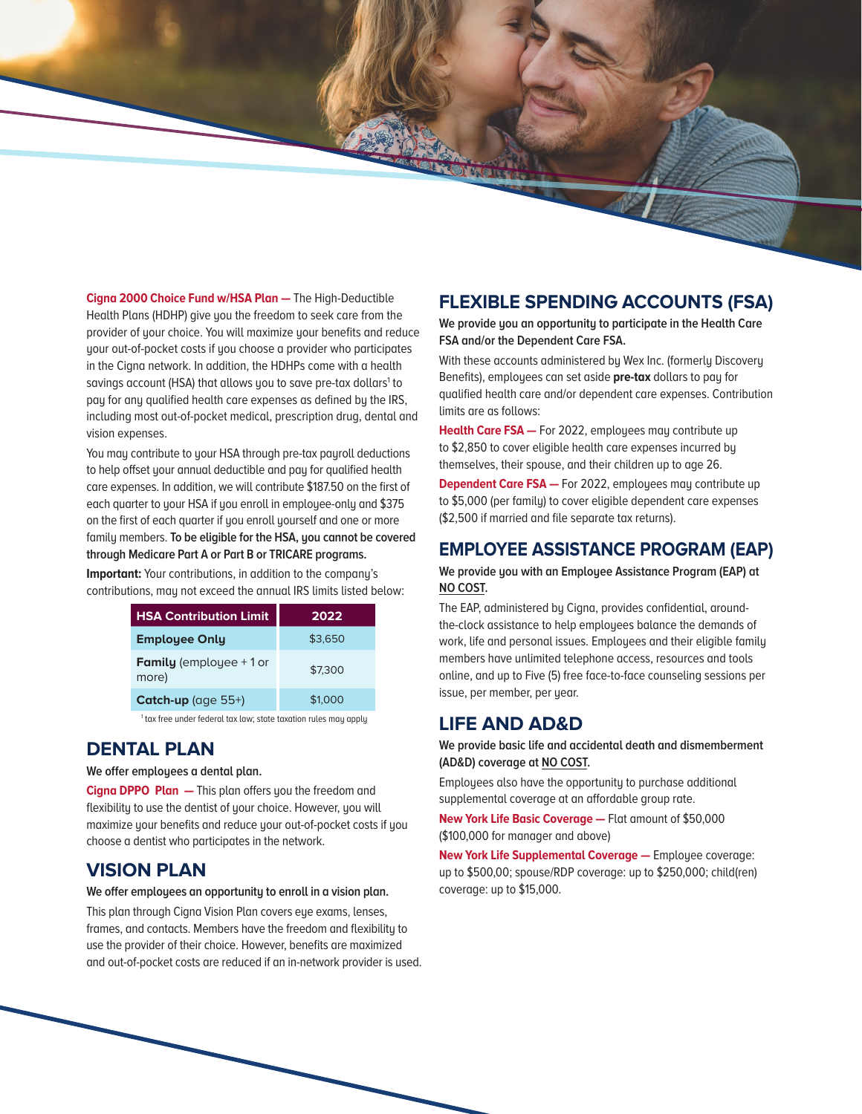**[Cigna 2000 Choice Fund w/HSA Plan](DBF_P4 Plan Name) - The High-Deductible** Health Plans (HDHP) give you the freedom to seek care from the provider of your choice. You will maximize your benefits and reduce your out-of-pocket costs if you choose a provider who participates in the [Cigna](DBF_P3 Med Carrier Name) network. In addition, the HDHPs come with a health savings account (HSA) that allows you to save pre-tax dollars<sup>1</sup> to pay for any qualified health care expenses as defined by the IRS, including most out-of-pocket medical, prescription drug, dental and vision expenses.

You may contribute to your HSA through pre-tax payroll deductions to help offset your annual deductible and pay for qualified health care expenses. In addition, we will contribute \$187.50 on the first of each quarter to your HSA if you enroll in employee-only and \$375 on the first of each quarter if you enroll yourself and one or more family members. **To be eligible for the HSA, you cannot be covered through Medicare Part A or Part B or TRICARE programs.**

**Important:** Your contributions, in addition to the company's contributions, may not exceed the annual IRS limits listed below:

| <b>HSA Contribution Limit</b>            | 2022    |
|------------------------------------------|---------|
| <b>Employee Only</b>                     | \$3,650 |
| <b>Family</b> (employee $+1$ or<br>more) | \$7,300 |
| Catch-up (age $55+)$                     | \$1,000 |

<sup>1</sup> tax free under federal tax law; state taxation rules may apply

#### **DENTAL PLAN**

**We offer employees a dental plan.**

**[Cigna](DBF_P1 Dental Carrier Name) [DPPO](DBF_P1 Plan Type1) Plan —** This plan offers you the freedom and flexibility to use the dentist of your choice. However, you will maximize your benefits and reduce your out-of-pocket costs if you choose a dentist who participates in the network.

#### **VISION PLAN**

#### **We offer employees an opportunity to enroll in a vision plan.**

This plan through [Cigna Vision Plan](DBF_P1 Vision Carrier Name) covers eye exams, lenses, frames, and contacts. Members have the freedom and flexibility to use the provider of their choice. However, benefits are maximized and out-of-pocket costs are reduced if an in-network provider is used.

#### **FLEXIBLE SPENDING ACCOUNTS (FSA)**

**We provide you an opportunity to participate in the Health Care FSA and/or the Dependent Care FSA.** 

With these accounts administered by [Wex Inc. \(formerly Discovery](DBF_FSA CARRIER)  [Benefits\),](DBF_FSA CARRIER) employees can set aside **pre-tax** dollars to pay for qualified health care and/or dependent care expenses. Contribution limits are as follows:

**Health Care FSA —** For 2022, employees may contribute up to [\\$2,850](DBF_Health Care FSA max contrib) to cover eligible health care expenses incurred by themselves, their spouse, and their children up to age 26.

**Dependent Care FSA -** For 2022, employees may contribute up to [\\$5,000](DBF_Dep Care FSA Max contrib) (per family) to cover eligible dependent care expenses (\$2,500 if married and file separate tax returns).

#### **EMPLOYEE ASSISTANCE PROGRAM (EAP)**

**We provide you with an Employee Assistance Program (EAP) at NO COST.** 

The EAP, administered by [Cigna](DBF_EAP CARRIER), provides confidential, aroundthe-clock assistance to help employees balance the demands of work, life and personal issues. Employees and their eligible family members have unlimited telephone access, resources and tools online, and up to [Five \(5\)](DBF_EAP # of visits) free face-to-face counseling sessions per issue, per member, per year.

#### **LIFE AND AD&D**

**BOOK** 

**We provide basic life and accidental death and dismemberment (AD&D) coverage at NO COST.** 

Employees also have the opportunity to purchase additional supplemental coverage at an affordable group rate.

**[New York Life](DBF_Basic Life/AD&D CARRIER) Basic Coverage —** [Flat amount of \\$50,000](DBF_Basic Life EE Benefit)  [\(\\$100,000 for manager and above\)](DBF_Basic Life EE Benefit)

**[New York Life](DBF_Supp Life CARRIER) Supplemental Coverage —** Employee coverage: up to [\\$500,00;](DBF_EE Supp Life) spouse/RDP coverage: up to [\\$250,000](DBF_Spouse Supp Life); child(ren) coverage: up to [\\$15,000.](DBF_Child(ren) Supp Life)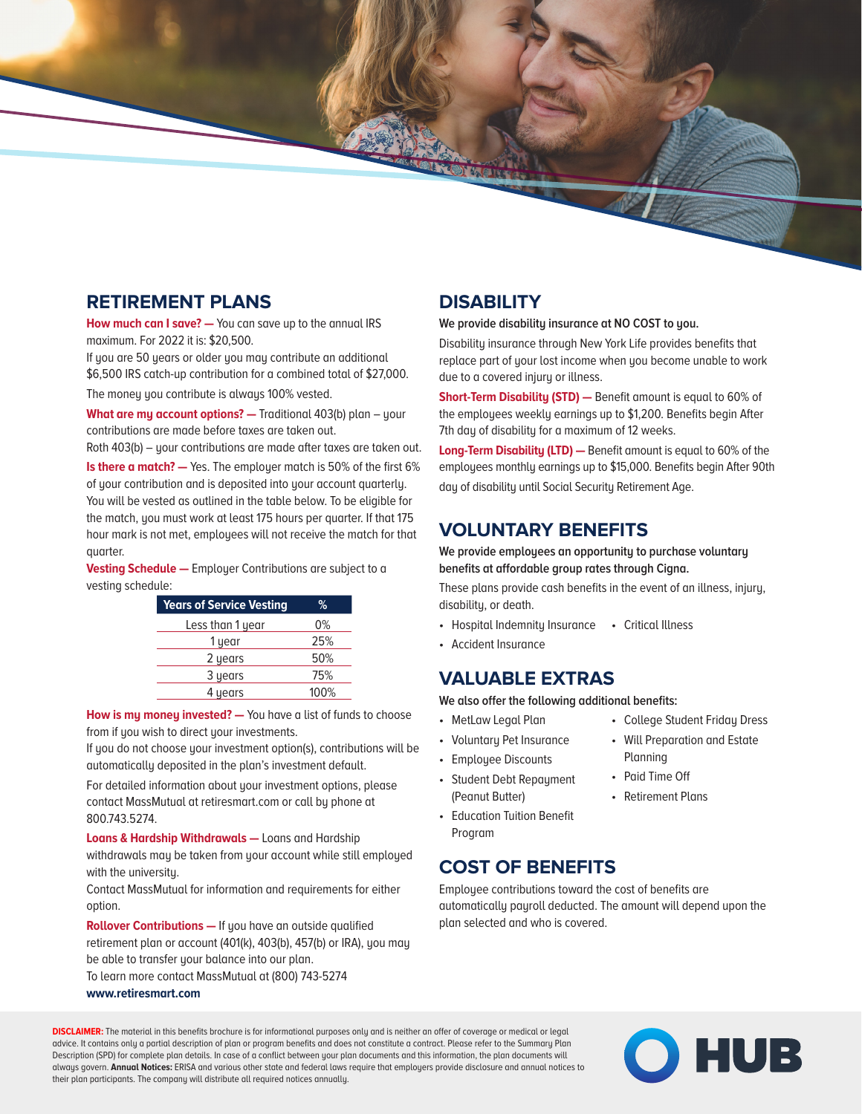### **RETIREMENT PLANS**

**How much can I save? —** You can save up to the annual IRS maximum. For 2022 it is: \$20,500.

If you are 50 years or older you may contribute an additional \$6,500 IRS catch-up contribution for a combined total of \$27,000.

The money you contribute is always 100% vested.

**What are my account options?** - Traditional 403(b) plan - your contributions are made before taxes are taken out.

Roth 403(b) – your contributions are made after taxes are taken out.

**Is there a match?** — Yes. The employer match is 50% of the first 6% of your contribution and is deposited into your account quarterly. You will be vested as outlined in the table below. To be eligible for the match, you must work at least 175 hours per quarter. If that 175 hour mark is not met, employees will not receive the match for that quarter.

**Vesting Schedule —** Employer Contributions are subject to a vesting schedule:

| <b>Years of Service Vesting</b> | ℅    |
|---------------------------------|------|
| Less than 1 year                | 0%   |
| 1 year                          | 25%  |
| 2 years                         | 50%  |
| 3 years                         | 75%  |
| 4 years                         | 100% |

**How is my money invested? —** You have a list of funds to choose from if you wish to direct your investments.

If you do not choose your investment option(s), contributions will be automatically deposited in the plan's investment default.

For detailed information about your investment options, please contact MassMutual at retiresmart.com or call by phone at 800.743.5274.

**Loans & Hardship Withdrawals —** Loans and Hardship withdrawals may be taken from your account while still employed with the university.

Contact MassMutual for information and requirements for either option.

**Rollover Contributions —** If you have an outside qualified retirement plan or account (401(k), 403(b), 457(b) or IRA), you may be able to transfer your balance into our plan.

To learn more contact MassMutual at (800) 743-5274 **www.retiresmart.com**

## **DISABILITY**

**South Ave.** 

**We provide disability insurance at NO COST to you.** 

Disability insurance through [New York Life](DBF_DISABILITY CARRIER) provides benefits that replace part of your lost income when you become unable to work due to a covered injury or illness.

**Short-Term Disability (STD)** - Benefit amount is equal to [60%](DBF_STD Benefit (%)) of the employees weekly earnings up to [\\$1,200.](DBF_STD Weekly Max Benefit) Benefits begin [After](DBF_STD Benefit Begins)  [7th day of disability](DBF_STD Benefit Begins) for a maximum of [12 weeks](DBF_STD Max Benefit period).

**Long-Term Disability (LTD) —** Benefit amount is equal to [60%](DBF_LTD Benefit (%)) of the employees monthly earnings up to [\\$15,000](DBF_LTD Mthly Max Benefit). Benefits begin [After 90th](DBF_LTD Benefit Begins)  [day of disability](DBF_LTD Benefit Begins) until [Social Security Retirement Age](DBF_LTD Max Benefit period).

### **VOLUNTARY BENEFITS**

**We provide employees an opportunity to purchase voluntary benefits at affordable group rates through [Cigna.](DBF_Voluntary Benefit Carrier Name)** 

These plans provide cash benefits in the event of an illness, injury, disability, or death.

- [Hospital Indemnity Insurance](DBF_Voluntary Benefit1) [Critical Illness](DBF_Voluntary Benefit3)
- [Accident Insurance](DBF_Voluntary Benefit2)

#### **VALUABLE EXTRAS**

**We also offer the following additional benefits:**

- [MetLaw Legal Plan](DBF_Valuable Extras1)
- [Voluntary Pet Insurance](DBF_Valuable Extras2)
- [Employee Discounts](DBF_Valuable Extras3)
- [Student Debt Repayment](DBF_Valuable Extras4)  [\(Peanut Butter\)](DBF_Valuable Extras4)
- [Education Tuition Benefit](DBF_Valuable Extras5)  [Program](DBF_Valuable Extras5)

## **COST OF BENEFITS**

Employee contributions toward the cost of benefits are automatically payroll deducted. The amount will depend upon the plan selected and who is covered.

**DISCLAIMER:** The material in this benefits brochure is for informational purposes only and is neither an offer of coverage or medical or legal advice. It contains only a partial description of plan or program benefits and does not constitute a contract. Please refer to the Summary Plan Description (SPD) for complete plan details. In case of a conflict between your plan documents and this information, the plan documents will always govern. **Annual Notices:** ERISA and various other state and federal laws require that employers provide disclosure and annual notices to their plan participants. The company will distribute all required notices annually.



- [College Student Friday Dress](DBF_Valuable Extras6) • [Will Preparation and Estate](DBF_Valuable Extras7)  [Planning](DBF_Valuable Extras7)
- [Paid Time Off](DBF_Valuable Extras8)
- [Retirement Plans](DBF_Valuable Extras9)
-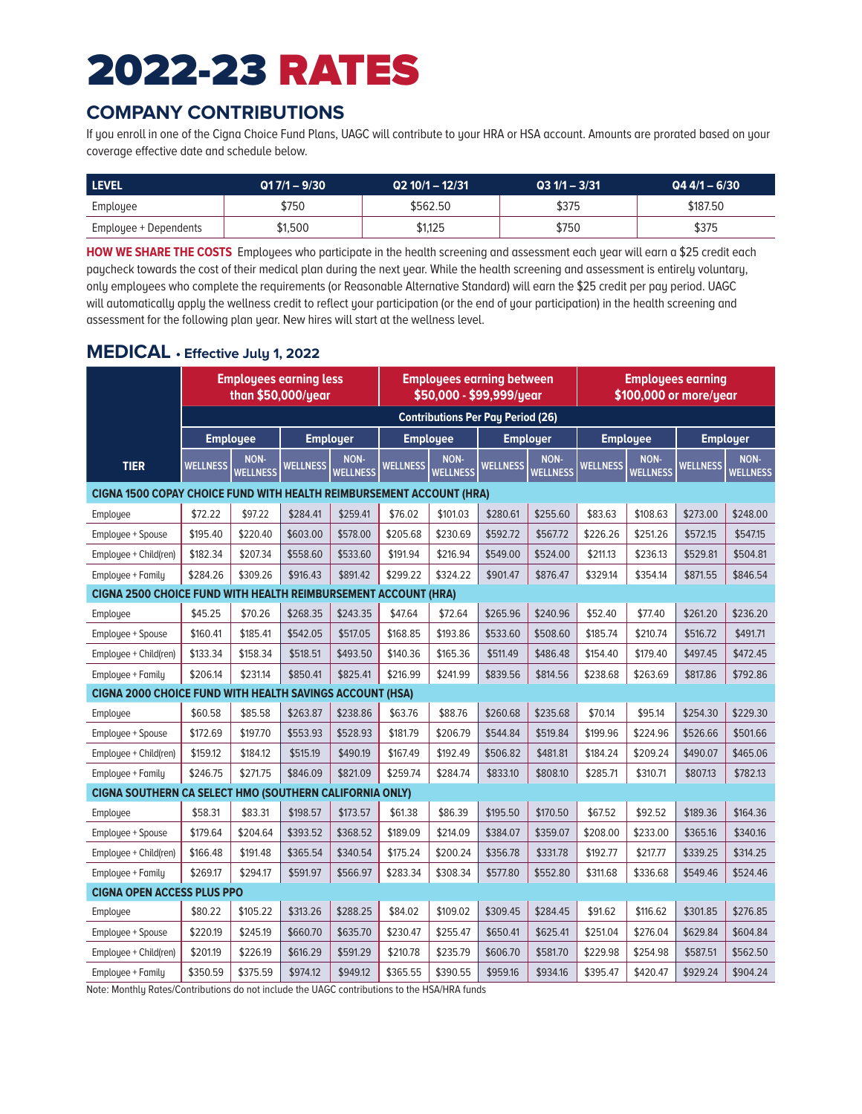# 2022-23 RATES

## **COMPANY CONTRIBUTIONS**

If you enroll in one of the Cigna Choice Fund Plans, UAGC will contribute to your HRA or HSA account. Amounts are prorated based on your coverage effective date and schedule below.

| <b>LEVEL</b>          | $.017/1 - 9/30$ | $Q2 10/1 - 12/31$ | $Q31/1 - 3/31$ | $Q44/1 - 6/30$ |
|-----------------------|-----------------|-------------------|----------------|----------------|
| Employee              | \$750           | \$562.50          | \$375          | \$187.50       |
| Employee + Dependents | \$1,500         | \$1,125           | \$750          | \$375          |

**HOW WE SHARE THE COSTS** Employees who participate in the health screening and assessment each year will earn a \$25 credit each paycheck towards the cost of their medical plan during the next year. While the health screening and assessment is entirely voluntary, only employees who complete the requirements (or Reasonable Alternative Standard) will earn the \$25 credit per pay period. UAGC will automatically apply the wellness credit to reflect your participation (or the end of your participation) in the health screening and assessment for the following plan year. New hires will start at the wellness level.

#### **MEDICAL • Effective July 1, 2022**

|                                                                       | <b>Employees earning less</b><br>than \$50,000/year |                         | <b>Employees earning between</b><br>\$50,000 - \$99,999/year<br><b>Contributions Per Pay Period (26)</b> |                 |                 | <b>Employees earning</b><br>\$100,000 or more/year |                 |                 |                                    |                 |                 |                 |
|-----------------------------------------------------------------------|-----------------------------------------------------|-------------------------|----------------------------------------------------------------------------------------------------------|-----------------|-----------------|----------------------------------------------------|-----------------|-----------------|------------------------------------|-----------------|-----------------|-----------------|
|                                                                       |                                                     |                         |                                                                                                          |                 |                 |                                                    |                 | <b>Employer</b> | <b>Employee</b><br><b>Employer</b> |                 |                 |                 |
|                                                                       |                                                     | <b>Employee</b><br>NON- | <b>Employer</b>                                                                                          | NON-            |                 | <b>Employee</b><br>NON-                            |                 | NON-            |                                    | NON-            |                 | NON-            |
| <b>TIER</b>                                                           | WELLNESS                                            | <b>WELLNESS</b>         | <b>WELLNESS</b>                                                                                          | <b>WELLNESS</b> | <b>WELLNESS</b> | <b>WELLNESS</b>                                    | <b>WELLNESS</b> | <b>WELLNESS</b> | <b>WELLNESS</b>                    | <b>WELLNESS</b> | <b>WELLNESS</b> | <b>WELLNESS</b> |
| CIGNA 1500 COPAY CHOICE FUND WITH HEALTH REIMBURSEMENT ACCOUNT (HRA)  |                                                     |                         |                                                                                                          |                 |                 |                                                    |                 |                 |                                    |                 |                 |                 |
| Employee                                                              | \$72.22                                             | \$97.22                 | \$284.41                                                                                                 | \$259.41        | \$76.02         | \$101.03                                           | \$280.61        | \$255.60        | \$83.63                            | \$108.63        | \$273.00        | \$248.00        |
| Employee + Spouse                                                     | \$195.40                                            | \$220.40                | \$603.00                                                                                                 | \$578.00        | \$205.68        | \$230.69                                           | \$592.72        | \$567.72        | \$226.26                           | \$251.26        | \$572.15        | \$547.15        |
| Employee + Child(ren)                                                 | \$182.34                                            | \$207.34                | \$558.60                                                                                                 | \$533.60        | \$191.94        | \$216.94                                           | \$549.00        | \$524.00        | \$211.13                           | \$236.13        | \$529.81        | \$504.81        |
| Employee + Family                                                     | \$284.26                                            | \$309.26                | \$916.43                                                                                                 | \$891.42        | \$299.22        | \$324.22                                           | \$901.47        | \$876.47        | \$329.14                           | \$354.14        | \$871.55        | \$846.54        |
| <b>CIGNA 2500 CHOICE FUND WITH HEALTH REIMBURSEMENT ACCOUNT (HRA)</b> |                                                     |                         |                                                                                                          |                 |                 |                                                    |                 |                 |                                    |                 |                 |                 |
| Employee                                                              | \$45.25                                             | \$70.26                 | \$268.35                                                                                                 | \$243.35        | \$47.64         | \$72.64                                            | \$265.96        | \$240.96        | \$52.40                            | \$77.40         | \$261.20        | \$236.20        |
| Employee + Spouse                                                     | \$160.41                                            | \$185.41                | \$542.05                                                                                                 | \$517.05        | \$168.85        | \$193.86                                           | \$533.60        | \$508.60        | \$185.74                           | \$210.74        | \$516.72        | \$491.71        |
| Employee + Child(ren)                                                 | \$133.34                                            | \$158.34                | \$518.51                                                                                                 | \$493.50        | \$140.36        | \$165.36                                           | \$511.49        | \$486.48        | \$154.40                           | \$179.40        | \$497.45        | \$472.45        |
| Employee + Family                                                     | \$206.14                                            | \$231.14                | \$850.41                                                                                                 | \$825.41        | \$216.99        | \$241.99                                           | \$839.56        | \$814.56        | \$238.68                           | \$263.69        | \$817.86        | \$792.86        |
| <b>CIGNA 2000 CHOICE FUND WITH HEALTH SAVINGS ACCOUNT (HSA)</b>       |                                                     |                         |                                                                                                          |                 |                 |                                                    |                 |                 |                                    |                 |                 |                 |
| Employee                                                              | \$60.58                                             | \$85.58                 | \$263.87                                                                                                 | \$238.86        | \$63.76         | \$88.76                                            | \$260.68        | \$235.68        | \$70.14                            | \$95.14         | \$254.30        | \$229.30        |
| Employee + Spouse                                                     | \$172.69                                            | \$197.70                | \$553.93                                                                                                 | \$528.93        | \$181.79        | \$206.79                                           | \$544.84        | \$519.84        | \$199.96                           | \$224.96        | \$526.66        | \$501.66        |
| Emplouee + Child(ren)                                                 | \$159.12                                            | \$184.12                | \$515.19                                                                                                 | \$490.19        | \$167.49        | \$192.49                                           | \$506.82        | \$481.81        | \$184.24                           | \$209.24        | \$490.07        | \$465.06        |
| Employee + Family                                                     | \$246.75                                            | \$271.75                | \$846.09                                                                                                 | \$821.09        | \$259.74        | \$284.74                                           | \$833.10        | \$808.10        | \$285.71                           | \$310.71        | \$807.13        | \$782.13        |
| CIGNA SOUTHERN CA SELECT HMO (SOUTHERN CALIFORNIA ONLY)               |                                                     |                         |                                                                                                          |                 |                 |                                                    |                 |                 |                                    |                 |                 |                 |
| Employee                                                              | \$58.31                                             | \$83.31                 | \$198.57                                                                                                 | \$173.57        | \$61.38         | \$86.39                                            | \$195.50        | \$170.50        | \$67.52                            | \$92.52         | \$189.36        | \$164.36        |
| Employee + Spouse                                                     | \$179.64                                            | \$204.64                | \$393.52                                                                                                 | \$368.52        | \$189.09        | \$214.09                                           | \$384.07        | \$359.07        | \$208.00                           | \$233.00        | \$365.16        | \$340.16        |
| Employee + Child(ren)                                                 | \$166.48                                            | \$191.48                | \$365.54                                                                                                 | \$340.54        | \$175.24        | \$200.24                                           | \$356.78        | \$331.78        | \$192.77                           | \$217.77        | \$339.25        | \$314.25        |
| Employee + Family                                                     | \$269.17                                            | \$294.17                | \$591.97                                                                                                 | \$566.97        | \$283.34        | \$308.34                                           | \$577.80        | \$552.80        | \$311.68                           | \$336.68        | \$549.46        | \$524.46        |
| <b>CIGNA OPEN ACCESS PLUS PPO</b>                                     |                                                     |                         |                                                                                                          |                 |                 |                                                    |                 |                 |                                    |                 |                 |                 |
| Employee                                                              | \$80.22                                             | \$105.22                | \$313.26                                                                                                 | \$288.25        | \$84.02         | \$109.02                                           | \$309.45        | \$284.45        | \$91.62                            | \$116.62        | \$301.85        | \$276.85        |
| Employee + Spouse                                                     | \$220.19                                            | \$245.19                | \$660.70                                                                                                 | \$635.70        | \$230.47        | \$255.47                                           | \$650.41        | \$625.41        | \$251.04                           | \$276.04        | \$629.84        | \$604.84        |
| Employee + Child(ren)                                                 | \$201.19                                            | \$226.19                | \$616.29                                                                                                 | \$591.29        | \$210.78        | \$235.79                                           | \$606.70        | \$581.70        | \$229.98                           | \$254.98        | \$587.51        | \$562.50        |
| Employee + Family                                                     | \$350.59                                            | \$375.59                | \$974.12                                                                                                 | \$949.12        | \$365.55        | \$390.55                                           | \$959.16        | \$934.16        | \$395.47                           | \$420.47        | \$929.24        | \$904.24        |

Note: Monthly Rates/Contributions do not include the UAGC contributions to the HSA/HRA funds